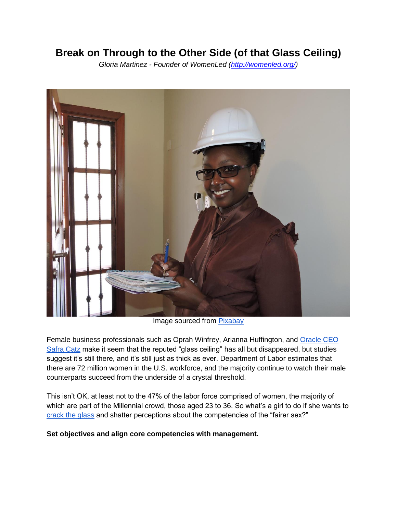# **Break on Through to the Other Side (of that Glass Ceiling)**

*Gloria Martinez - Founder of WomenLed [\(http://womenled.org/\)](http://womenled.org/)*



Image sourced from [Pixabay](https://pixabay.com/en/engineer-female-engineering-woman-1612104/)

Female business professionals such as Oprah Winfrey, Arianna Huffington, an[d](http://money.cnn.com/gallery/news/2016/12/19/highest-paid-women-executives/) [Oracle CEO](http://money.cnn.com/gallery/news/2016/12/19/highest-paid-women-executives/)  [Safra Catz](http://money.cnn.com/gallery/news/2016/12/19/highest-paid-women-executives/) make it seem that the reputed "glass ceiling" has all but disappeared, but studies suggest it's still there, and it's still just as thick as ever. Department of Labor estimates that there are 72 million women in the U.S. workforce, and the majority continue to watch their male counterparts succeed from the underside of a crystal threshold.

This isn't OK, at least not to the 47% of the labor force comprised of women, the majority of which are part of the Millennial crowd, those aged 23 to 36. So what's a girl to do if she wants to [crack the glass](https://www.catalyst.org/knowledge/cracking-glass-ceiling-strategies-success) and shatter perceptions about the competencies of the "fairer sex?"

**Set objectives and align core competencies with management.**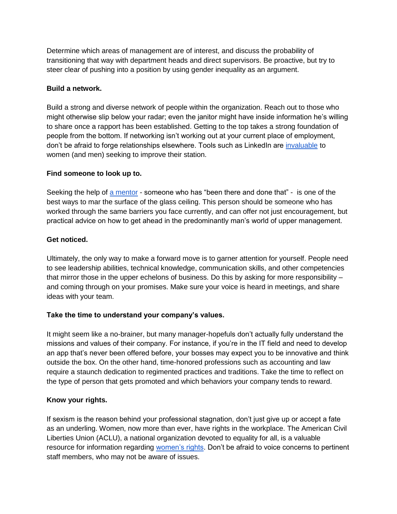Determine which areas of management are of interest, and discuss the probability of transitioning that way with department heads and direct supervisors. Be proactive, but try to steer clear of pushing into a position by using gender inequality as an argument.

### **Build a network.**

Build a strong and diverse network of people within the organization. Reach out to those who might otherwise slip below your radar; even the janitor might have inside information he's willing to share once a rapport has been established. Getting to the top takes a strong foundation of people from the bottom. If networking isn't working out at your current place of employment, don't be afraid to forge relationships elsewhere. Tools such as LinkedIn are [invaluable](https://www.christiancareercenter.com/blog/how-linkedin-can-help-you-develop-your-career/) to women (and men) seeking to improve their station.

# **Find someone to look up to.**

Seeking the help of [a mentor](https://www.forbes.com/sites/kathycaprino/2014/09/21/how-to-find-a-great-mentor-first-dont-ever-ask-a-stranger/) - someone who has "been there and done that" - is one of the best ways to mar the surface of the glass ceiling. This person should be someone who has worked through the same barriers you face currently, and can offer not just encouragement, but practical advice on how to get ahead in the predominantly man's world of upper management.

# **Get noticed.**

Ultimately, the only way to make a forward move is to garner attention for yourself. People need to see leadership abilities, technical knowledge, communication skills, and other competencies that mirror those in the upper echelons of business. Do this by asking for more responsibility – and coming through on your promises. Make sure your voice is heard in meetings, and share ideas with your team.

# **Take the time to understand your company's values.**

It might seem like a no-brainer, but many manager-hopefuls don't actually fully understand the missions and values of their company. For instance, if you're in the IT field and need to develop an app that's never been offered before, your bosses may expect you to be innovative and think outside the box. On the other hand, time-honored professions such as accounting and law require a staunch dedication to regimented practices and traditions. Take the time to reflect on the type of person that gets promoted and which behaviors your company tends to reward.

#### **Know your rights.**

If sexism is the reason behind your professional stagnation, don't just give up or accept a fate as an underling. Women, now more than ever, have rights in the workplace. The American Civil Liberties Union (ACLU), a national organization devoted to equality for all, is a valuable resource for information regardin[g](https://www.aclu.org/issues/womens-rights/womens-rights-workplace) [women's rights.](https://www.aclu.org/issues/womens-rights/womens-rights-workplace) Don't be afraid to voice concerns to pertinent staff members, who may not be aware of issues.